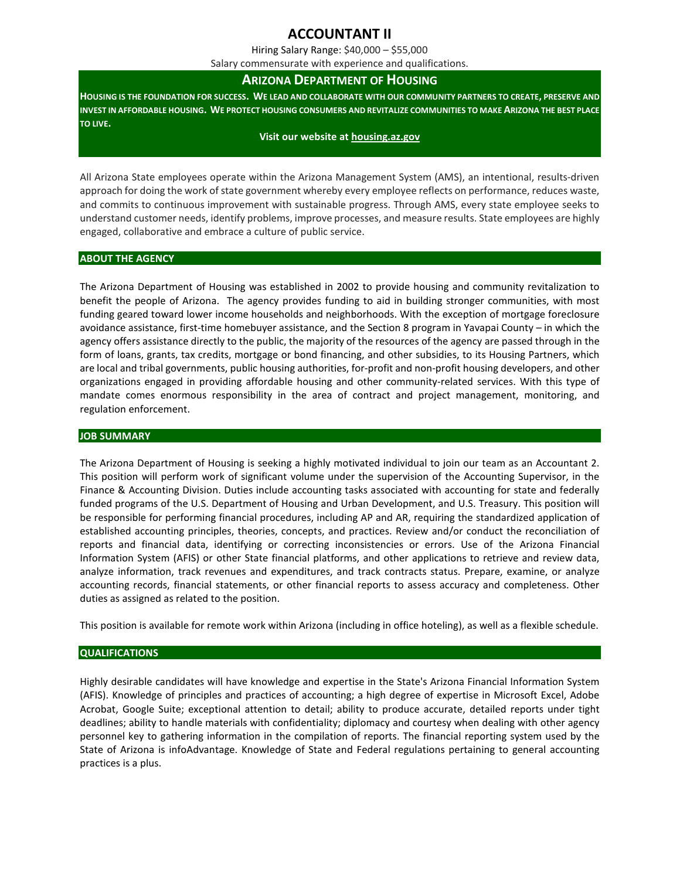# **ACCOUNTANT II**

Hiring Salary Range: \$40,000 – \$55,000

Salary commensurate with experience and qualifications.

# **ARIZONA DEPARTMENT OF HOUSING**

**HOUSING IS THE FOUNDATION FOR SUCCESS. WE LEAD AND COLLABORATE WITH OUR COMMUNITY PARTNERS TO CREATE, PRESERVE AND INVEST IN AFFORDABLE HOUSING. WE PROTECT HOUSING CONSUMERS AND REVITALIZE COMMUNITIES TO MAKE ARIZONA THE BEST PLACE TO LIVE.**

#### **Visit our website a[t housing.az.gov](http://www.housing.az.gov/)**

All Arizona State employees operate within the Arizona Management System (AMS), an intentional, results-driven approach for doing the work of state government whereby every employee reflects on performance, reduces waste, and commits to continuous improvement with sustainable progress. Through AMS, every state employee seeks to understand customer needs, identify problems, improve processes, and measure results. State employees are highly engaged, collaborative and embrace a culture of public service.

#### **ABOUT THE AGENCY**

The Arizona Department of Housing was established in 2002 to provide housing and community revitalization to benefit the people of Arizona. The agency provides funding to aid in building stronger communities, with most funding geared toward lower income households and neighborhoods. With the exception of mortgage foreclosure avoidance assistance, first-time homebuyer assistance, and the Section 8 program in Yavapai County – in which the agency offers assistance directly to the public, the majority of the resources of the agency are passed through in the form of loans, grants, tax credits, mortgage or bond financing, and other subsidies, to its Housing Partners, which are local and tribal governments, public housing authorities, for-profit and non-profit housing developers, and other organizations engaged in providing affordable housing and other community-related services. With this type of mandate comes enormous responsibility in the area of contract and project management, monitoring, and regulation enforcement.

#### **JOB SUMMARY**

The Arizona Department of Housing is seeking a highly motivated individual to join our team as an Accountant 2. This position will perform work of significant volume under the supervision of the Accounting Supervisor, in the Finance & Accounting Division. Duties include accounting tasks associated with accounting for state and federally funded programs of the U.S. Department of Housing and Urban Development, and U.S. Treasury. This position will be responsible for performing financial procedures, including AP and AR, requiring the standardized application of established accounting principles, theories, concepts, and practices. Review and/or conduct the reconciliation of reports and financial data, identifying or correcting inconsistencies or errors. Use of the Arizona Financial Information System (AFIS) or other State financial platforms, and other applications to retrieve and review data, analyze information, track revenues and expenditures, and track contracts status. Prepare, examine, or analyze accounting records, financial statements, or other financial reports to assess accuracy and completeness. Other duties as assigned as related to the position.

This position is available for remote work within Arizona (including in office hoteling), as well as a flexible schedule.

# **QUALIFICATIONS**

Highly desirable candidates will have knowledge and expertise in the State's Arizona Financial Information System (AFIS). Knowledge of principles and practices of accounting; a high degree of expertise in Microsoft Excel, Adobe Acrobat, Google Suite; exceptional attention to detail; ability to produce accurate, detailed reports under tight deadlines; ability to handle materials with confidentiality; diplomacy and courtesy when dealing with other agency personnel key to gathering information in the compilation of reports. The financial reporting system used by the State of Arizona is infoAdvantage. Knowledge of State and Federal regulations pertaining to general accounting practices is a plus.